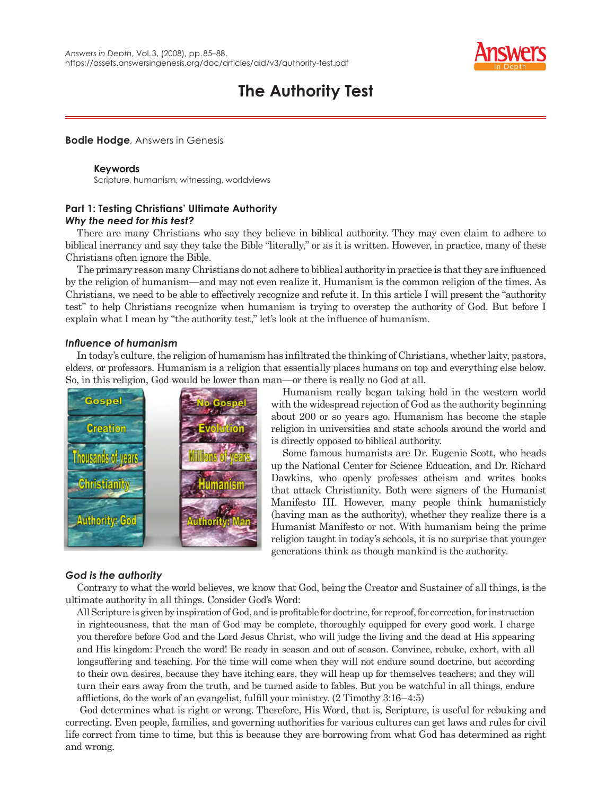

# **The Authority Test**

## **Bodie Hodge**, Answers in Genesis

#### **Keywords**

Scripture, humanism, witnessing, worldviews

## **Part 1: Testing Christians' Ultimate Authority** *Why the need for this test?*

There are many Christians who say they believe in biblical authority. They may even claim to adhere to biblical inerrancy and say they take the Bible "literally," or as it is written. However, in practice, many of these Christians often ignore the Bible.

The primary reason many Christians do not adhere to biblical authority in practice is that they are influenced by the religion of humanism—and may not even realize it. Humanism is the common religion of the times. As Christians, we need to be able to effectively recognize and refute it. In this article I will present the "authority test" to help Christians recognize when humanism is trying to overstep the authority of God. But before I explain what I mean by "the authority test," let's look at the influence of humanism.

## *Infl uence of humanism*

In today's culture, the religion of humanism has infiltrated the thinking of Christians, whether laity, pastors, elders, or professors. Humanism is a religion that essentially places humans on top and everything else below. So, in this religion, God would be lower than man—or there is really no God at all.



Humanism really began taking hold in the western world with the widespread rejection of God as the authority beginning about 200 or so years ago. Humanism has become the staple religion in universities and state schools around the world and is directly opposed to biblical authority.

Some famous humanists are Dr. Eugenie Scott, who heads up the National Center for Science Education, and Dr. Richard Dawkins, who openly professes atheism and writes books that attack Christianity. Both were signers of the Humanist Manifesto III. However, many people think humanisticly (having man as the authority), whether they realize there is a Humanist Manifesto or not. With humanism being the prime religion taught in today's schools, it is no surprise that younger generations think as though mankind is the authority.

## *God is the authority*

Contrary to what the world believes, we know that God, being the Creator and Sustainer of all things, is the ultimate authority in all things. Consider God's Word:

All Scripture is given by inspiration of God, and is profitable for doctrine, for reproof, for correction, for instruction in righteousness, that the man of God may be complete, thoroughly equipped for every good work. I charge you therefore before God and the Lord Jesus Christ, who will judge the living and the dead at His appearing and His kingdom: Preach the word! Be ready in season and out of season. Convince, rebuke, exhort, with all longsuffering and teaching. For the time will come when they will not endure sound doctrine, but according to their own desires, because they have itching ears, they will heap up for themselves teachers; and they will turn their ears away from the truth, and be turned aside to fables. But you be watchful in all things, endure afflictions, do the work of an evangelist, fulfill your ministry.  $(2 \text{ Timothy } 3:16-4:5)$ 

 God determines what is right or wrong. Therefore, His Word, that is, Scripture, is useful for rebuking and correcting. Even people, families, and governing authorities for various cultures can get laws and rules for civil life correct from time to time, but this is because they are borrowing from what God has determined as right and wrong.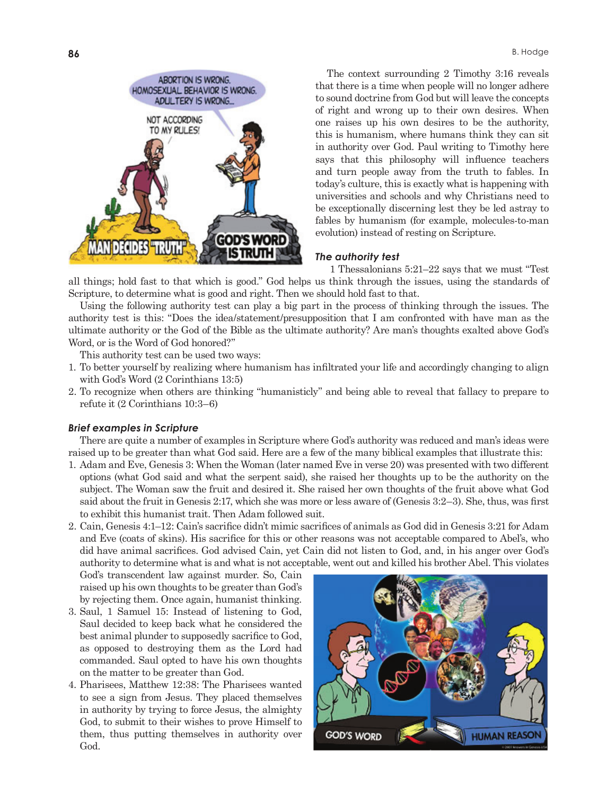

The context surrounding 2 Timothy 3:16 reveals that there is a time when people will no longer adhere to sound doctrine from God but will leave the concepts of right and wrong up to their own desires. When one raises up his own desires to be the authority, this is humanism, where humans think they can sit in authority over God. Paul writing to Timothy here says that this philosophy will influence teachers and turn people away from the truth to fables. In today's culture, this is exactly what is happening with universities and schools and why Christians need to be exceptionally discerning lest they be led astray to fables by humanism (for example, molecules-to-man evolution) instead of resting on Scripture.

## *The authority test*

 1 Thessalonians 5:21–22 says that we must "Test all things; hold fast to that which is good." God helps us think through the issues, using the standards of Scripture, to determine what is good and right. Then we should hold fast to that.

Using the following authority test can play a big part in the process of thinking through the issues. The authority test is this: "Does the idea/statement/presupposition that I am confronted with have man as the ultimate authority or the God of the Bible as the ultimate authority? Are man's thoughts exalted above God's Word, or is the Word of God honored?"

This authority test can be used two ways:

- 1. To better yourself by realizing where humanism has infiltrated your life and accordingly changing to align with God's Word (2 Corinthians 13:5)
- 2. To recognize when others are thinking "humanisticly" and being able to reveal that fallacy to prepare to refute it (2 Corinthians 10:3–6)

## *Brief examples in Scripture*

There are quite a number of examples in Scripture where God's authority was reduced and man's ideas were raised up to be greater than what God said. Here are a few of the many biblical examples that illustrate this:

- 1. Adam and Eve, Genesis 3: When the Woman (later named Eve in verse 20) was presented with two different options (what God said and what the serpent said), she raised her thoughts up to be the authority on the subject. The Woman saw the fruit and desired it. She raised her own thoughts of the fruit above what God said about the fruit in Genesis 2:17, which she was more or less aware of (Genesis 3:2–3). She, thus, was first to exhibit this humanist trait. Then Adam followed suit.
- 2. Cain, Genesis 4:1–12: Cain's sacrifice didn't mimic sacrifices of animals as God did in Genesis 3:21 for Adam and Eve (coats of skins). His sacrifice for this or other reasons was not acceptable compared to Abel's, who did have animal sacrifices. God advised Cain, yet Cain did not listen to God, and, in his anger over God's authority to determine what is and what is not acceptable, went out and killed his brother Abel. This violates

God's transcendent law against murder. So, Cain raised up his own thoughts to be greater than God's by rejecting them. Once again, humanist thinking.

- 3. Saul, 1 Samuel 15: Instead of listening to God, Saul decided to keep back what he considered the best animal plunder to supposedly sacrifice to God, as opposed to destroying them as the Lord had commanded. Saul opted to have his own thoughts on the matter to be greater than God.
- 4. Pharisees, Matthew 12:38: The Pharisees wanted to see a sign from Jesus. They placed themselves in authority by trying to force Jesus, the almighty God, to submit to their wishes to prove Himself to them, thus putting themselves in authority over God.

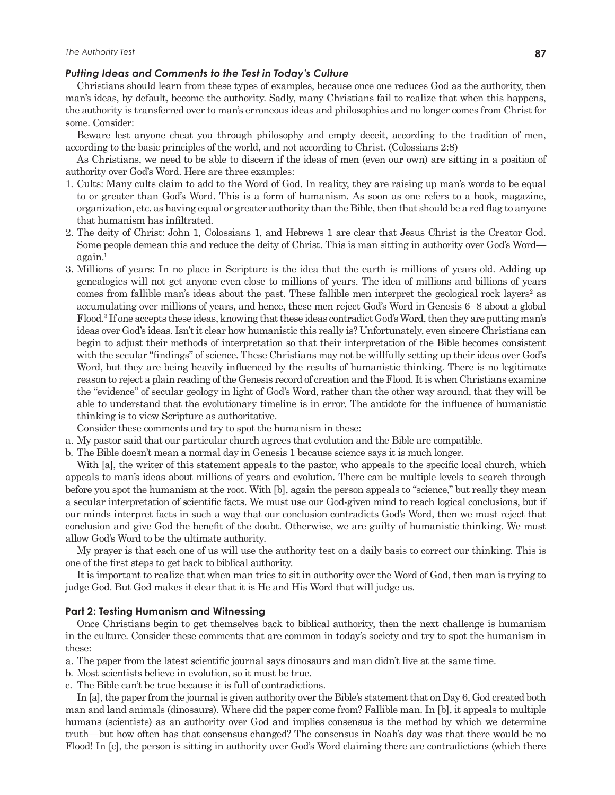#### *Putting Ideas and Comments to the Test in Today's Culture*

Christians should learn from these types of examples, because once one reduces God as the authority, then man's ideas, by default, become the authority. Sadly, many Christians fail to realize that when this happens, the authority is transferred over to man's erroneous ideas and philosophies and no longer comes from Christ for some. Consider:

Beware lest anyone cheat you through philosophy and empty deceit, according to the tradition of men, according to the basic principles of the world, and not according to Christ. (Colossians 2:8)

As Christians, we need to be able to discern if the ideas of men (even our own) are sitting in a position of authority over God's Word. Here are three examples:

- 1. Cults: Many cults claim to add to the Word of God. In reality, they are raising up man's words to be equal to or greater than God's Word. This is a form of humanism. As soon as one refers to a book, magazine, organization, etc. as having equal or greater authority than the Bible, then that should be a red flag to anyone that humanism has infiltrated.
- 2. The deity of Christ: John 1, Colossians 1, and Hebrews 1 are clear that Jesus Christ is the Creator God. Some people demean this and reduce the deity of Christ. This is man sitting in authority over God's Word again.<sup>1</sup>
- 3. Millions of years: In no place in Scripture is the idea that the earth is millions of years old. Adding up genealogies will not get anyone even close to millions of years. The idea of millions and billions of years comes from fallible man's ideas about the past. These fallible men interpret the geological rock layers<sup>2</sup> as accumulating over millions of years, and hence, these men reject God's Word in Genesis 6–8 about a global Flood.<sup>3</sup> If one accepts these ideas, knowing that these ideas contradict God's Word, then they are putting man's ideas over God's ideas. Isn't it clear how humanistic this really is? Unfortunately, even sincere Christians can begin to adjust their methods of interpretation so that their interpretation of the Bible becomes consistent with the secular "findings" of science. These Christians may not be willfully setting up their ideas over God's Word, but they are being heavily influenced by the results of humanistic thinking. There is no legitimate reason to reject a plain reading of the Genesis record of creation and the Flood. It is when Christians examine the "evidence" of secular geology in light of God's Word, rather than the other way around, that they will be able to understand that the evolutionary timeline is in error. The antidote for the influence of humanistic thinking is to view Scripture as authoritative.

Consider these comments and try to spot the humanism in these:

- a. My pastor said that our particular church agrees that evolution and the Bible are compatible.
- b. The Bible doesn't mean a normal day in Genesis 1 because science says it is much longer.

With [a], the writer of this statement appeals to the pastor, who appeals to the specific local church, which appeals to man's ideas about millions of years and evolution. There can be multiple levels to search through before you spot the humanism at the root. With [b], again the person appeals to "science," but really they mean a secular interpretation of scientific facts. We must use our God-given mind to reach logical conclusions, but if our minds interpret facts in such a way that our conclusion contradicts God's Word, then we must reject that conclusion and give God the benefit of the doubt. Otherwise, we are guilty of humanistic thinking. We must allow God's Word to be the ultimate authority.

My prayer is that each one of us will use the authority test on a daily basis to correct our thinking. This is one of the first steps to get back to biblical authority.

It is important to realize that when man tries to sit in authority over the Word of God, then man is trying to judge God. But God makes it clear that it is He and His Word that will judge us.

#### **Part 2: Testing Humanism and Witnessing**

Once Christians begin to get themselves back to biblical authority, then the next challenge is humanism in the culture. Consider these comments that are common in today's society and try to spot the humanism in these:

- a. The paper from the latest scientific journal says dinosaurs and man didn't live at the same time.
- b. Most scientists believe in evolution, so it must be true.
- c. The Bible can't be true because it is full of contradictions.

In [a], the paper from the journal is given authority over the Bible's statement that on Day 6, God created both man and land animals (dinosaurs). Where did the paper come from? Fallible man. In [b], it appeals to multiple humans (scientists) as an authority over God and implies consensus is the method by which we determine truth—but how often has that consensus changed? The consensus in Noah's day was that there would be no Flood! In [c], the person is sitting in authority over God's Word claiming there are contradictions (which there